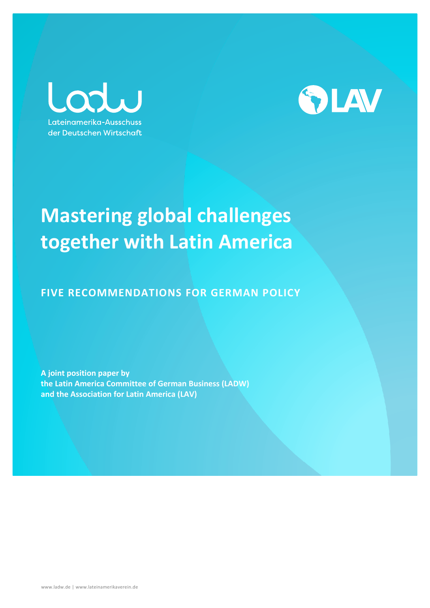Lod Lateinamerika-Ausschuss der Deutschen Wirtschaft



# **Mastering global challenges together with Latin America**

**FIVE RECOMMENDATIONS FOR GERMAN POLICY**

**A joint position paper by the Latin America Committee of German Business (LADW) and the Association for Latin America (LAV)**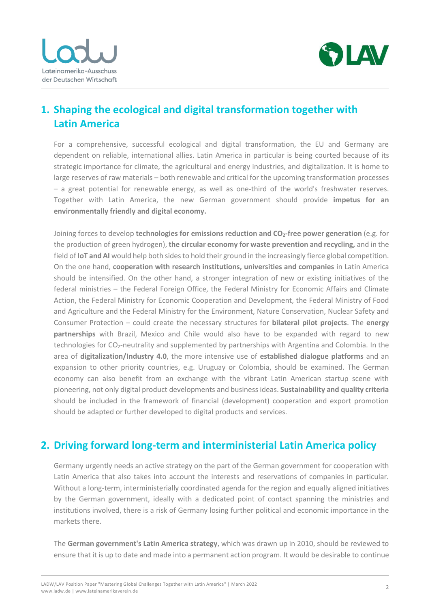



## **1. Shaping the ecological and digital transformation together with Latin America**

For a comprehensive, successful ecological and digital transformation, the EU and Germany are dependent on reliable, international allies. Latin America in particular is being courted because of its strategic importance for climate, the agricultural and energy industries, and digitalization. It is home to large reserves of raw materials – both renewable and critical for the upcoming transformation processes – a great potential for renewable energy, as well as one-third of the world's freshwater reserves. Together with Latin America, the new German government should provide **impetus for an environmentally friendly and digital economy.**

Joining forces to develop **technologies for emissions reduction and CO2-free power generation** (e.g. for the production of green hydrogen), **the circular economy for waste prevention and recycling,** and in the field of **IoT and AI** would help both sides to hold their ground in the increasingly fierce global competition. On the one hand, **cooperation with research institutions, universities and companies** in Latin America should be intensified. On the other hand, a stronger integration of new or existing initiatives of the federal ministries – the Federal Foreign Office, the Federal Ministry for Economic Affairs and Climate Action, the Federal Ministry for Economic Cooperation and Development, the Federal Ministry of Food and Agriculture and the Federal Ministry for the Environment, Nature Conservation, Nuclear Safety and Consumer Protection – could create the necessary structures for **bilateral pilot projects**. The **energy partnerships** with Brazil, Mexico and Chile would also have to be expanded with regard to new technologies for CO<sub>2</sub>-neutrality and supplemented by partnerships with Argentina and Colombia. In the area of **digitalization/Industry 4.0**, the more intensive use of **established dialogue platforms** and an expansion to other priority countries, e.g. Uruguay or Colombia, should be examined. The German economy can also benefit from an exchange with the vibrant Latin American startup scene with pioneering, not only digital product developments and business ideas. **Sustainability and quality criteria**  should be included in the framework of financial (development) cooperation and export promotion should be adapted or further developed to digital products and services.

#### **2. Driving forward long-term and interministerial Latin America policy**

Germany urgently needs an active strategy on the part of the German government for cooperation with Latin America that also takes into account the interests and reservations of companies in particular. Without a long-term, interministerially coordinated agenda for the region and equally aligned initiatives by the German government, ideally with a dedicated point of contact spanning the ministries and institutions involved, there is a risk of Germany losing further political and economic importance in the markets there.

The **German government's Latin America strategy**, which was drawn up in 2010, should be reviewed to ensure that it is up to date and made into a permanent action program. It would be desirable to continue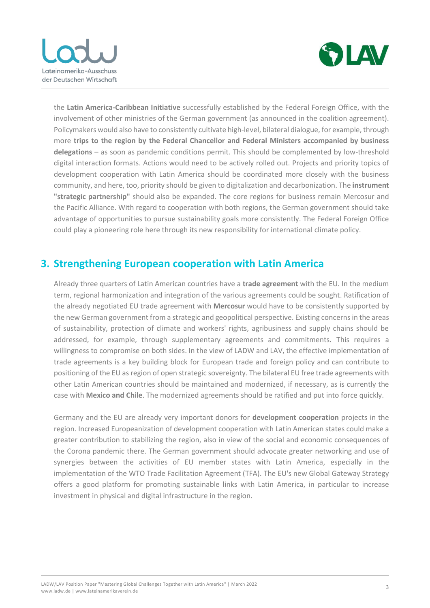



the **Latin America-Caribbean Initiative** successfully established by the Federal Foreign Office, with the involvement of other ministries of the German government (as announced in the coalition agreement). Policymakers would also have to consistently cultivate high-level, bilateral dialogue, for example, through more **trips to the region by the Federal Chancellor and Federal Ministers accompanied by business delegations** – as soon as pandemic conditions permit. This should be complemented by low-threshold digital interaction formats. Actions would need to be actively rolled out. Projects and priority topics of development cooperation with Latin America should be coordinated more closely with the business community, and here, too, priority should be given to digitalization and decarbonization. The **instrument "strategic partnership"** should also be expanded. The core regions for business remain Mercosur and the Pacific Alliance. With regard to cooperation with both regions, the German government should take advantage of opportunities to pursue sustainability goals more consistently. The Federal Foreign Office could play a pioneering role here through its new responsibility for international climate policy.

#### **3. Strengthening European cooperation with Latin America**

Already three quarters of Latin American countries have a **trade agreement** with the EU. In the medium term, regional harmonization and integration of the various agreements could be sought. Ratification of the already negotiated EU trade agreement with **Mercosur** would have to be consistently supported by the new German government from a strategic and geopolitical perspective. Existing concerns in the areas of sustainability, protection of climate and workers' rights, agribusiness and supply chains should be addressed, for example, through supplementary agreements and commitments. This requires a willingness to compromise on both sides. In the view of LADW and LAV, the effective implementation of trade agreements is a key building block for European trade and foreign policy and can contribute to positioning of the EU as region of open strategic sovereignty. The bilateral EU free trade agreements with other Latin American countries should be maintained and modernized, if necessary, as is currently the case with **Mexico and Chile**. The modernized agreements should be ratified and put into force quickly.

Germany and the EU are already very important donors for **development cooperation** projects in the region. Increased Europeanization of development cooperation with Latin American states could make a greater contribution to stabilizing the region, also in view of the social and economic consequences of the Corona pandemic there. The German government should advocate greater networking and use of synergies between the activities of EU member states with Latin America, especially in the implementation of the WTO Trade Facilitation Agreement (TFA). The EU's new Global Gateway Strategy offers a good platform for promoting sustainable links with Latin America, in particular to increase investment in physical and digital infrastructure in the region.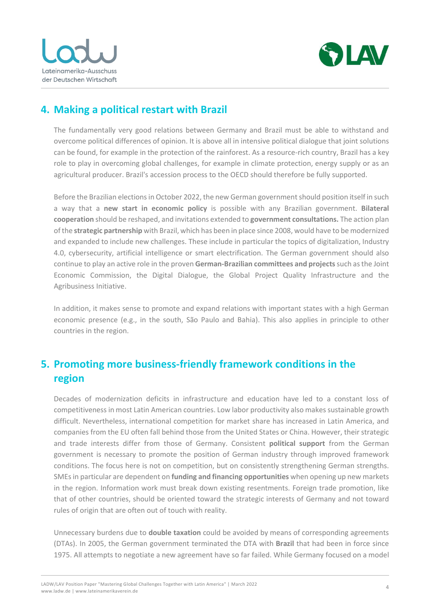



## **4. Making a political restart with Brazil**

The fundamentally very good relations between Germany and Brazil must be able to withstand and overcome political differences of opinion. It is above all in intensive political dialogue that joint solutions can be found, for example in the protection of the rainforest. As a resource-rich country, Brazil has a key role to play in overcoming global challenges, for example in climate protection, energy supply or as an agricultural producer. Brazil's accession process to the OECD should therefore be fully supported.

Before the Brazilian elections in October 2022, the new German government should position itself in such a way that a **new start in economic policy** is possible with any Brazilian government. **Bilateral cooperation** should be reshaped, and invitations extended to **government consultations.** The action plan of the **strategic partnership** with Brazil, which has been in place since 2008, would have to be modernized and expanded to include new challenges. These include in particular the topics of digitalization, Industry 4.0, cybersecurity, artificial intelligence or smart electrification. The German government should also continue to play an active role in the proven **German-Brazilian committees and projects** such as the Joint Economic Commission, the Digital Dialogue, the Global Project Quality Infrastructure and the Agribusiness Initiative.

In addition, it makes sense to promote and expand relations with important states with a high German economic presence (e.g., in the south, São Paulo and Bahia). This also applies in principle to other countries in the region.

### **5. Promoting more business-friendly framework conditions in the region**

Decades of modernization deficits in infrastructure and education have led to a constant loss of competitiveness in most Latin American countries. Low labor productivity also makes sustainable growth difficult. Nevertheless, international competition for market share has increased in Latin America, and companies from the EU often fall behind those from the United States or China. However, their strategic and trade interests differ from those of Germany. Consistent **political support** from the German government is necessary to promote the position of German industry through improved framework conditions. The focus here is not on competition, but on consistently strengthening German strengths. SMEs in particular are dependent on **funding and financing opportunities** when opening up new markets in the region. Information work must break down existing resentments. Foreign trade promotion, like that of other countries, should be oriented toward the strategic interests of Germany and not toward rules of origin that are often out of touch with reality.

Unnecessary burdens due to **double taxation** could be avoided by means of corresponding agreements (DTAs). In 2005, the German government terminated the DTA with **Brazil** that had been in force since 1975. All attempts to negotiate a new agreement have so far failed. While Germany focused on a model